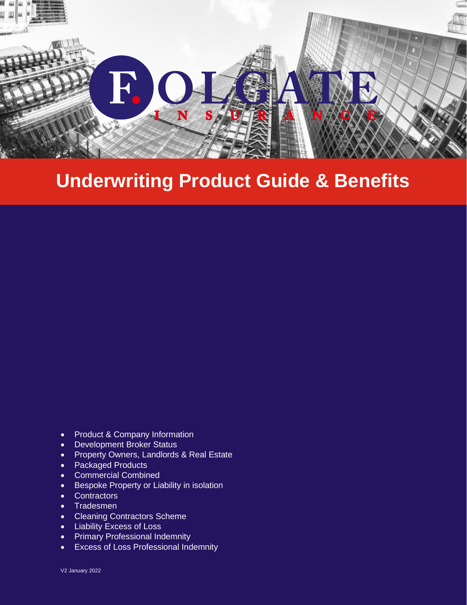

# **Underwriting Product Guide & Benefits**

- Product & Company Information
- Development Broker Status
- Property Owners, Landlords & Real Estate
- Packaged Products
- Commercial Combined
- Bespoke Property or Liability in isolation
- Contractors
- Tradesmen
- Cleaning Contractors Scheme
- Liability Excess of Loss
- Primary Professional Indemnity
- Excess of Loss Professional Indemnity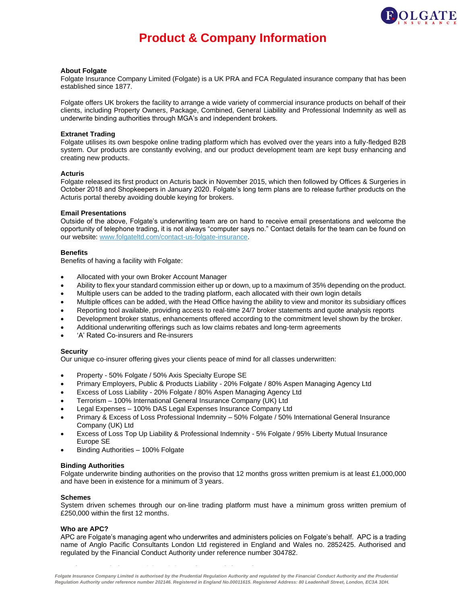

# **Product & Company Information**

#### **About Folgate**

Folgate Insurance Company Limited (Folgate) is a UK PRA and FCA Regulated insurance company that has been established since 1877.

Folgate offers UK brokers the facility to arrange a wide variety of commercial insurance products on behalf of their clients, including Property Owners, Package, Combined, General Liability and Professional Indemnity as well as underwrite binding authorities through MGA's and independent brokers.

#### **Extranet Trading**

Folgate utilises its own bespoke online trading platform which has evolved over the years into a fully-fledged B2B system. Our products are constantly evolving, and our product development team are kept busy enhancing and creating new products.

#### **Acturis**

Folgate released its first product on Acturis back in November 2015, which then followed by Offices & Surgeries in October 2018 and Shopkeepers in January 2020. Folgate's long term plans are to release further products on the Acturis portal thereby avoiding double keying for brokers.

#### **Email Presentations**

Outside of the above, Folgate's underwriting team are on hand to receive email presentations and welcome the opportunity of telephone trading, it is not always "computer says no." Contact details for the team can be found on our website[: www.folgateltd.com/contact-us-folgate-insurance.](http://www.folgateltd.com/contact-us-folgate-insurance)

#### **Benefits**

Benefits of having a facility with Folgate:

- Allocated with your own Broker Account Manager
- Ability to flex your standard commission either up or down, up to a maximum of 35% depending on the product.
- Multiple users can be added to the trading platform, each allocated with their own login details
- Multiple offices can be added, with the Head Office having the ability to view and monitor its subsidiary offices
- Reporting tool available, providing access to real-time 24/7 broker statements and quote analysis reports
- Development broker status, enhancements offered according to the commitment level shown by the broker.
- Additional underwriting offerings such as low claims rebates and long-term agreements
- 'A' Rated Co-insurers and Re-insurers

#### **Security**

Our unique co-insurer offering gives your clients peace of mind for all classes underwritten:

- Property 50% Folgate / 50% Axis Specialty Europe SE
- Primary Employers, Public & Products Liability 20% Folgate / 80% Aspen Managing Agency Ltd
- Excess of Loss Liability 20% Folgate / 80% Aspen Managing Agency Ltd
- Terrorism 100% International General Insurance Company (UK) Ltd
- Legal Expenses 100% DAS Legal Expenses Insurance Company Ltd
- Primary & Excess of Loss Professional Indemnity 50% Folgate / 50% International General Insurance Company (UK) Ltd
- Excess of Loss Top Up Liability & Professional Indemnity 5% Folgate / 95% Liberty Mutual Insurance Europe SE
- Binding Authorities 100% Folgate

#### **Binding Authorities**

Folgate underwrite binding authorities on the proviso that 12 months gross written premium is at least £1,000,000 and have been in existence for a minimum of 3 years.

#### **Schemes**

System driven schemes through our on-line trading platform must have a minimum gross written premium of £250,000 within the first 12 months.

#### **Who are APC?**

APC are Folgate's managing agent who underwrites and administers policies on Folgate's behalf. APC is a trading name of Anglo Pacific Consultants London Ltd registered in England and Wales no. 2852425. Authorised and regulated by the Financial Conduct Authority under reference number 304782.

**Head to our websit[e www.folgateltd.com](http://www.folgateltd.com/) for more information.**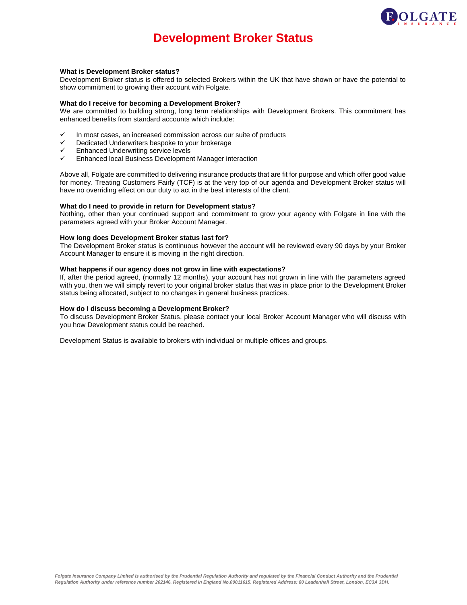

# **Development Broker Status**

#### **What is Development Broker status?**

Development Broker status is offered to selected Brokers within the UK that have shown or have the potential to show commitment to growing their account with Folgate.

#### **What do I receive for becoming a Development Broker?**

We are committed to building strong, long term relationships with Development Brokers. This commitment has enhanced benefits from standard accounts which include:

- In most cases, an increased commission across our suite of products
- ✓ Dedicated Underwriters bespoke to your brokerage
- ✓ Enhanced Underwriting service levels
- Enhanced local Business Development Manager interaction

Above all, Folgate are committed to delivering insurance products that are fit for purpose and which offer good value for money. Treating Customers Fairly (TCF) is at the very top of our agenda and Development Broker status will have no overriding effect on our duty to act in the best interests of the client.

#### **What do I need to provide in return for Development status?**

Nothing, other than your continued support and commitment to grow your agency with Folgate in line with the parameters agreed with your Broker Account Manager.

#### **How long does Development Broker status last for?**

The Development Broker status is continuous however the account will be reviewed every 90 days by your Broker Account Manager to ensure it is moving in the right direction.

#### **What happens if our agency does not grow in line with expectations?**

If, after the period agreed, (normally 12 months), your account has not grown in line with the parameters agreed with you, then we will simply revert to your original broker status that was in place prior to the Development Broker status being allocated, subject to no changes in general business practices.

#### **How do I discuss becoming a Development Broker?**

To discuss Development Broker Status, please contact your local Broker Account Manager who will discuss with you how Development status could be reached.

Development Status is available to brokers with individual or multiple offices and groups.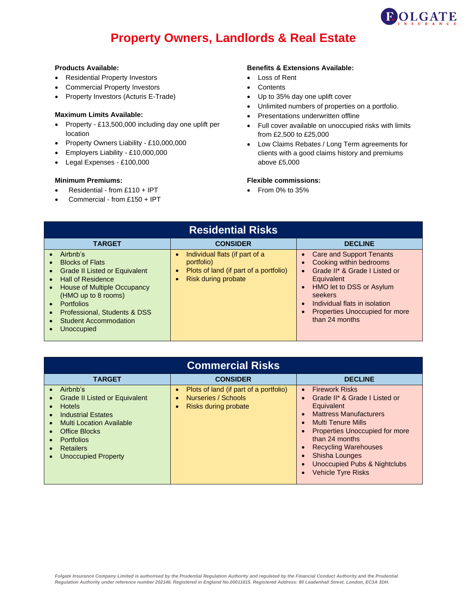

# **Property Owners, Landlords & Real Estate**

#### **Products Available:**

- Residential Property Investors
- Commercial Property Investors
- Property Investors (Acturis E-Trade)

### **Maximum Limits Available:**

- Property £13,500,000 including day one uplift per location
- Property Owners Liability £10,000,000
- Employers Liability £10,000,000
- Legal Expenses £100,000

### **Minimum Premiums:**

- Residential from £110 + IPT
- Commercial from £150 + IPT

# **Benefits & Extensions Available:**

- Loss of Rent
- Contents
- Up to 35% day one uplift cover
- Unlimited numbers of properties on a portfolio.
- Presentations underwritten offline
- Full cover available on unoccupied risks with limits from £2,500 to £25,000
- Low Claims Rebates / Long Term agreements for clients with a good claims history and premiums above £5,000

### **Flexible commissions:**

| <b>Residential Risks</b>                                                                                                                                                                                                                                        |                                                                                                                            |                                                                                                                                                                                                                                                                                                   |
|-----------------------------------------------------------------------------------------------------------------------------------------------------------------------------------------------------------------------------------------------------------------|----------------------------------------------------------------------------------------------------------------------------|---------------------------------------------------------------------------------------------------------------------------------------------------------------------------------------------------------------------------------------------------------------------------------------------------|
| <b>TARGET</b>                                                                                                                                                                                                                                                   | <b>CONSIDER</b>                                                                                                            | <b>DECLINE</b>                                                                                                                                                                                                                                                                                    |
| Airbnb's<br><b>Blocks of Flats</b><br><b>Grade II Listed or Equivalent</b><br><b>Hall of Residence</b><br>House of Multiple Occupancy<br>(HMO up to 8 rooms)<br><b>Portfolios</b><br>Professional, Students & DSS<br><b>Student Accommodation</b><br>Unoccupied | Individual flats (if part of a<br>portfolio)<br>Plots of land (if part of a portfolio)<br>$\bullet$<br>Risk during probate | • Care and Support Tenants<br>Cooking within bedrooms<br>$\bullet$<br>Grade II* & Grade I Listed or<br>$\bullet$<br>Equivalent<br>HMO let to DSS or Asylum<br>$\bullet$<br>seekers<br>Individual flats in isolation<br>$\bullet$<br>Properties Unoccupied for more<br>$\bullet$<br>than 24 months |

| <b>Commercial Risks</b>                                                                                                                                                                                                                                                        |                                                                                                    |                                                                                                                                                                                                                                                                                                                                                         |
|--------------------------------------------------------------------------------------------------------------------------------------------------------------------------------------------------------------------------------------------------------------------------------|----------------------------------------------------------------------------------------------------|---------------------------------------------------------------------------------------------------------------------------------------------------------------------------------------------------------------------------------------------------------------------------------------------------------------------------------------------------------|
| <b>TARGET</b>                                                                                                                                                                                                                                                                  | <b>CONSIDER</b>                                                                                    | <b>DECLINE</b>                                                                                                                                                                                                                                                                                                                                          |
| Airbnb's<br><b>Grade II Listed or Equivalent</b><br><b>Hotels</b><br><b>Industrial Estates</b><br>$\epsilon$<br><b>Multi Location Available</b><br>$\bullet$<br>Office Blocks<br><b>Portfolios</b><br><b>Retailers</b><br>$\bullet$<br><b>Unoccupied Property</b><br>$\bullet$ | Plots of land (if part of a portfolio)<br>Nurseries / Schools<br>$\bullet$<br>Risks during probate | <b>Firework Risks</b><br>$\bullet$<br>Grade II* & Grade I Listed or<br>Equivalent<br><b>Mattress Manufacturers</b><br><b>Multi Tenure Mills</b><br>$\bullet$<br><b>Properties Unoccupied for more</b><br>than 24 months<br><b>Recycling Warehouses</b><br><b>Shisha Lounges</b><br><b>Unoccupied Pubs &amp; Nightclubs</b><br><b>Vehicle Tyre Risks</b> |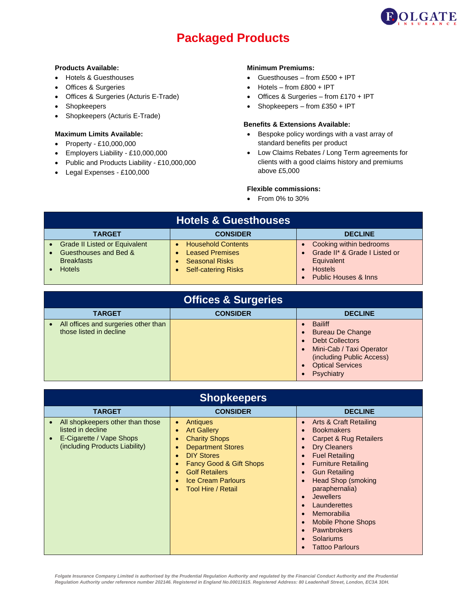

# **Packaged Products**

### **Products Available:**

- Hotels & Guesthouses
- Offices & Surgeries
- Offices & Surgeries (Acturis E-Trade)
- **Shopkeepers**
- Shopkeepers (Acturis E-Trade)

### **Maximum Limits Available:**

- Property £10,000,000
- Employers Liability £10,000,000
- Public and Products Liability £10,000,000
- Legal Expenses £100,000

# **Minimum Premiums:**

- Guesthouses from £500 + IPT
- Hotels from £800 + IPT
- Offices & Surgeries from £170 + IPT
- Shopkeepers from £350 + IPT

## **Benefits & Extensions Available:**

- Bespoke policy wordings with a vast array of standard benefits per product
- Low Claims Rebates / Long Term agreements for clients with a good claims history and premiums above £5,000

# **Flexible commissions:**

| <b>Hotels &amp; Guesthouses</b>                                                                     |                                                                                                                         |                                                                                                                             |
|-----------------------------------------------------------------------------------------------------|-------------------------------------------------------------------------------------------------------------------------|-----------------------------------------------------------------------------------------------------------------------------|
| <b>TARGET</b>                                                                                       | <b>CONSIDER</b>                                                                                                         | <b>DECLINE</b>                                                                                                              |
| <b>Grade II Listed or Equivalent</b><br>Guesthouses and Bed &<br><b>Breakfasts</b><br><b>Hotels</b> | <b>Household Contents</b><br><b>Leased Premises</b><br>$\bullet$<br><b>Seasonal Risks</b><br><b>Self-catering Risks</b> | Cooking within bedrooms<br>Grade II* & Grade I Listed or<br>Equivalent<br><b>Hostels</b><br><b>Public Houses &amp; Inns</b> |

| <b>Offices &amp; Surgeries</b>                                  |                 |                                                                                                                                                                                                                           |
|-----------------------------------------------------------------|-----------------|---------------------------------------------------------------------------------------------------------------------------------------------------------------------------------------------------------------------------|
| <b>TARGET</b>                                                   | <b>CONSIDER</b> | <b>DECLINE</b>                                                                                                                                                                                                            |
| All offices and surgeries other than<br>those listed in decline |                 | <b>Bailiff</b><br><b>Bureau De Change</b><br>$\bullet$<br><b>Debt Collectors</b><br>$\bullet$<br>Mini-Cab / Taxi Operator<br>$\bullet$<br>(including Public Access)<br><b>Optical Services</b><br>$\bullet$<br>Psychiatry |

| <b>Shopkeepers</b>                                                                                                               |                                                                                                                                                                                                                                                                                                                                     |                                                                                                                                                                                                                                                                                                                                                                                                                                                                                                                                                                   |
|----------------------------------------------------------------------------------------------------------------------------------|-------------------------------------------------------------------------------------------------------------------------------------------------------------------------------------------------------------------------------------------------------------------------------------------------------------------------------------|-------------------------------------------------------------------------------------------------------------------------------------------------------------------------------------------------------------------------------------------------------------------------------------------------------------------------------------------------------------------------------------------------------------------------------------------------------------------------------------------------------------------------------------------------------------------|
| <b>TARGET</b>                                                                                                                    | <b>CONSIDER</b>                                                                                                                                                                                                                                                                                                                     | <b>DECLINE</b>                                                                                                                                                                                                                                                                                                                                                                                                                                                                                                                                                    |
| All shopkeepers other than those<br>listed in decline<br>E-Cigarette / Vape Shops<br>$\bullet$<br>(including Products Liability) | Antiques<br>$\bullet$<br><b>Art Gallery</b><br>$\bullet$<br><b>Charity Shops</b><br>$\bullet$<br><b>Department Stores</b><br>$\bullet$<br><b>DIY Stores</b><br>$\bullet$<br>Fancy Good & Gift Shops<br>$\bullet$<br><b>Golf Retailers</b><br>$\bullet$<br><b>Ice Cream Parlours</b><br>$\bullet$<br>Tool Hire / Retail<br>$\bullet$ | Arts & Craft Retailing<br>$\bullet$<br><b>Bookmakers</b><br>$\bullet$<br><b>Carpet &amp; Rug Retailers</b><br>$\bullet$<br>Dry Cleaners<br>$\bullet$<br><b>Fuel Retailing</b><br>$\bullet$<br><b>Furniture Retailing</b><br>$\bullet$<br><b>Gun Retailing</b><br>$\bullet$<br><b>Head Shop (smoking</b><br>$\bullet$<br>paraphernalia)<br><b>Jewellers</b><br>$\bullet$<br>Launderettes<br>$\bullet$<br>Memorabilia<br>$\bullet$<br><b>Mobile Phone Shops</b><br>$\bullet$<br><b>Pawnbrokers</b><br>$\bullet$<br>Solariums<br>$\bullet$<br><b>Tattoo Parlours</b> |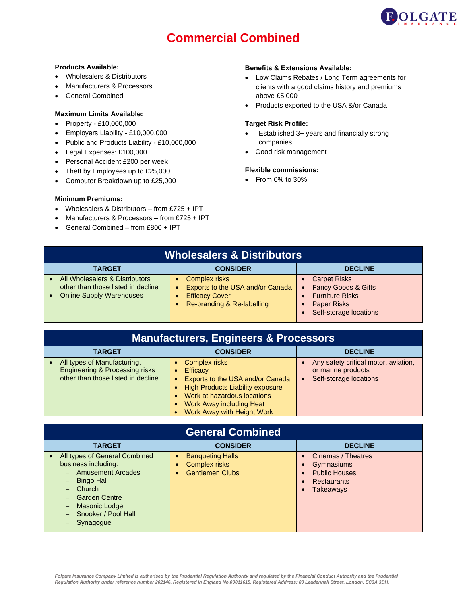

# **Commercial Combined**

#### **Products Available:**

- Wholesalers & Distributors
- Manufacturers & Processors
- General Combined

#### **Maximum Limits Available:**

- Property £10,000,000
- Employers Liability £10,000,000
- Public and Products Liability £10,000,000
- Legal Expenses: £100,000
- Personal Accident £200 per week
- Theft by Employees up to £25,000
- Computer Breakdown up to £25,000

#### **Minimum Premiums:**

- Wholesalers & Distributors from £725 + IPT
- Manufacturers & Processors from £725 + IPT
- General Combined from £800 + IPT

### **Benefits & Extensions Available:**

- Low Claims Rebates / Long Term agreements for clients with a good claims history and premiums above £5,000
- Products exported to the USA &/or Canada

#### **Target Risk Profile:**

- Established 3+ years and financially strong companies
- Good risk management

## **Flexible commissions:**

| <b>Wholesalers &amp; Distributors</b>                                                                   |                                                                                                                 |                                                                                                                                 |
|---------------------------------------------------------------------------------------------------------|-----------------------------------------------------------------------------------------------------------------|---------------------------------------------------------------------------------------------------------------------------------|
| <b>TARGET</b>                                                                                           | <b>CONSIDER</b>                                                                                                 | <b>DECLINE</b>                                                                                                                  |
| All Wholesalers & Distributors<br>other than those listed in decline<br><b>Online Supply Warehouses</b> | <b>Complex risks</b><br>Exports to the USA and/or Canada<br><b>Efficacy Cover</b><br>Re-branding & Re-labelling | <b>Carpet Risks</b><br><b>Fancy Goods &amp; Gifts</b><br><b>Furniture Risks</b><br><b>Paper Risks</b><br>Self-storage locations |

| <b>Manufacturers, Engineers &amp; Processors</b>                                                               |                                                                                                                                                                                                                   |                                                                                      |
|----------------------------------------------------------------------------------------------------------------|-------------------------------------------------------------------------------------------------------------------------------------------------------------------------------------------------------------------|--------------------------------------------------------------------------------------|
| <b>TARGET</b>                                                                                                  | <b>CONSIDER</b>                                                                                                                                                                                                   | <b>DECLINE</b>                                                                       |
| All types of Manufacturing,<br><b>Engineering &amp; Processing risks</b><br>other than those listed in decline | <b>Complex risks</b><br><b>Efficacy</b><br>Exports to the USA and/or Canada<br>• High Products Liability exposure<br>Work at hazardous locations<br><b>Work Away including Heat</b><br>Work Away with Height Work | Any safety critical motor, aviation,<br>or marine products<br>Self-storage locations |

| <b>General Combined</b>                                                                                                                                                                                                                                                                                                                        |                                                                           |                                                                                                                                                       |  |
|------------------------------------------------------------------------------------------------------------------------------------------------------------------------------------------------------------------------------------------------------------------------------------------------------------------------------------------------|---------------------------------------------------------------------------|-------------------------------------------------------------------------------------------------------------------------------------------------------|--|
| <b>TARGET</b>                                                                                                                                                                                                                                                                                                                                  | <b>CONSIDER</b>                                                           | <b>DECLINE</b>                                                                                                                                        |  |
| All types of General Combined<br>$\bullet$<br>business including:<br><b>Amusement Arcades</b><br>$-$<br><b>Bingo Hall</b><br>$\qquad \qquad -$<br>Church<br>$\qquad \qquad -$<br><b>Garden Centre</b><br>$\qquad \qquad -$<br><b>Masonic Lodge</b><br>$\overline{\phantom{0}}$<br>Snooker / Pool Hall<br>Synagogue<br>$\overline{\phantom{m}}$ | <b>Banqueting Halls</b><br><b>Complex risks</b><br><b>Gentlemen Clubs</b> | Cinemas / Theatres<br>$\bullet$<br>Gymnasiums<br>$\bullet$<br><b>Public Houses</b><br>$\bullet$<br>Restaurants<br>$\bullet$<br>Takeaways<br>$\bullet$ |  |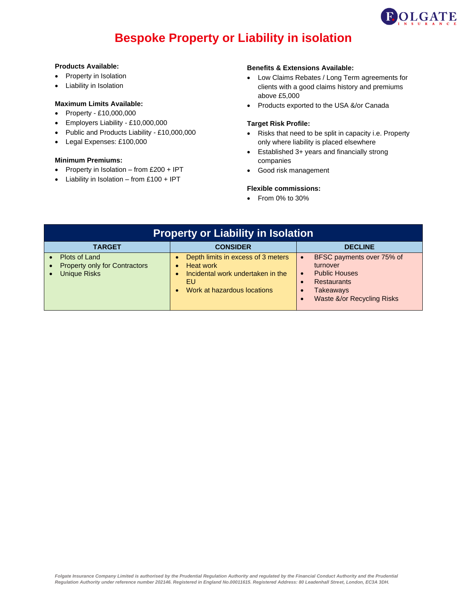

# **Bespoke Property or Liability in isolation**

#### **Products Available:**

- Property in Isolation
- Liability in Isolation

# **Maximum Limits Available:**

- Property £10,000,000
- Employers Liability £10,000,000
- Public and Products Liability £10,000,000
- Legal Expenses: £100,000

### **Minimum Premiums:**

- Property in Isolation from £200 + IPT
- Liability in Isolation from £100 + IPT

#### **Benefits & Extensions Available:**

- Low Claims Rebates / Long Term agreements for clients with a good claims history and premiums above £5,000
- Products exported to the USA &/or Canada

### **Target Risk Profile:**

- Risks that need to be split in capacity i.e. Property only where liability is placed elsewhere
- Established 3+ years and financially strong companies
- Good risk management

### **Flexible commissions:**

| <b>Property or Liability in Isolation</b>                                                 |                                                                                                                                  |                                                                                                                                                                              |
|-------------------------------------------------------------------------------------------|----------------------------------------------------------------------------------------------------------------------------------|------------------------------------------------------------------------------------------------------------------------------------------------------------------------------|
| <b>TARGET</b>                                                                             | <b>CONSIDER</b>                                                                                                                  | <b>DECLINE</b>                                                                                                                                                               |
| Plots of Land<br><b>Property only for Contractors</b><br><b>Unique Risks</b><br>$\bullet$ | Depth limits in excess of 3 meters<br><b>Heat work</b><br>Incidental work undertaken in the<br>EU<br>Work at hazardous locations | BFSC payments over 75% of<br>$\bullet$<br>turnover<br><b>Public Houses</b><br>$\bullet$<br><b>Restaurants</b><br><b>Takeaways</b><br>$\bullet$<br>Waste &/or Recycling Risks |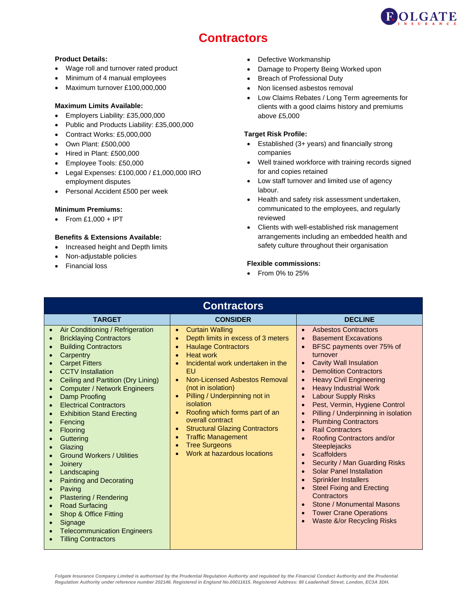

# **Contractors**

# **Product Details:**

- Wage roll and turnover rated product
- Minimum of 4 manual employees
- Maximum turnover £100,000,000

### **Maximum Limits Available:**

- Employers Liability: £35,000,000
- Public and Products Liability: £35,000,000
- Contract Works: £5,000,000
- Own Plant: £500,000
- Hired in Plant: £500,000
- Employee Tools: £50,000
- Legal Expenses: £100,000 / £1,000,000 IRO employment disputes
- Personal Accident £500 per week

#### **Minimum Premiums:**

• From £1,000 + IPT

# **Benefits & Extensions Available:**

- Increased height and Depth limits
- Non-adjustable policies
- Financial loss
- Defective Workmanship
- Damage to Property Being Worked upon
- Breach of Professional Duty
- Non licensed asbestos removal
- Low Claims Rebates / Long Term agreements for clients with a good claims history and premiums above £5,000

### **Target Risk Profile:**

- Established (3+ years) and financially strong companies
- Well trained workforce with training records signed for and copies retained
- Low staff turnover and limited use of agency labour.
- Health and safety risk assessment undertaken, communicated to the employees, and regularly reviewed
- Clients with well-established risk management arrangements including an embedded health and safety culture throughout their organisation

# **Flexible commissions:**

• From 0% to 25%

| <b>Contractors</b>                                                                                                                                                                                                                                                                                                                                                                                                                                                                                                                                                                                                                                                                                                                                                                                                                                                                       |                                                                                                                                                                                                                                                                                                                                                                                                                                                                                                                                                                                     |                                                                                                                                                                                                                                                                                                                                                                                                                                                                                                                                                                                                                                                                                                                                                                                                       |
|------------------------------------------------------------------------------------------------------------------------------------------------------------------------------------------------------------------------------------------------------------------------------------------------------------------------------------------------------------------------------------------------------------------------------------------------------------------------------------------------------------------------------------------------------------------------------------------------------------------------------------------------------------------------------------------------------------------------------------------------------------------------------------------------------------------------------------------------------------------------------------------|-------------------------------------------------------------------------------------------------------------------------------------------------------------------------------------------------------------------------------------------------------------------------------------------------------------------------------------------------------------------------------------------------------------------------------------------------------------------------------------------------------------------------------------------------------------------------------------|-------------------------------------------------------------------------------------------------------------------------------------------------------------------------------------------------------------------------------------------------------------------------------------------------------------------------------------------------------------------------------------------------------------------------------------------------------------------------------------------------------------------------------------------------------------------------------------------------------------------------------------------------------------------------------------------------------------------------------------------------------------------------------------------------------|
| <b>TARGET</b>                                                                                                                                                                                                                                                                                                                                                                                                                                                                                                                                                                                                                                                                                                                                                                                                                                                                            | <b>CONSIDER</b>                                                                                                                                                                                                                                                                                                                                                                                                                                                                                                                                                                     | <b>DECLINE</b>                                                                                                                                                                                                                                                                                                                                                                                                                                                                                                                                                                                                                                                                                                                                                                                        |
| Air Conditioning / Refrigeration<br>$\bullet$<br><b>Bricklaying Contractors</b><br>$\bullet$<br><b>Building Contractors</b><br>$\bullet$<br>Carpentry<br>$\bullet$<br><b>Carpet Fitters</b><br>$\bullet$<br><b>CCTV</b> Installation<br>Ceiling and Partition (Dry Lining)<br><b>Computer / Network Engineers</b><br>$\bullet$<br>Damp Proofing<br>$\bullet$<br><b>Electrical Contractors</b><br><b>Exhibition Stand Erecting</b><br>$\bullet$<br>Fencing<br>$\bullet$<br>Flooring<br>$\bullet$<br>Guttering<br>Glazing<br>$\bullet$<br><b>Ground Workers / Utilities</b><br>Joinery<br>$\bullet$<br>Landscaping<br><b>Painting and Decorating</b><br>$\bullet$<br>Paving<br>$\bullet$<br>Plastering / Rendering<br>$\bullet$<br><b>Road Surfacing</b><br>Shop & Office Fitting<br>$\bullet$<br>Signage<br><b>Telecommunication Engineers</b><br>$\bullet$<br><b>Tilling Contractors</b> | <b>Curtain Walling</b><br>$\bullet$<br>Depth limits in excess of 3 meters<br>$\bullet$<br><b>Haulage Contractors</b><br>$\bullet$<br><b>Heat work</b><br>$\bullet$<br>Incidental work undertaken in the<br>EU<br>Non-Licensed Asbestos Removal<br>$\bullet$<br>(not in isolation)<br>Pilling / Underpinning not in<br>$\bullet$<br>isolation<br>Roofing which forms part of an<br>$\bullet$<br>overall contract<br><b>Structural Glazing Contractors</b><br>$\bullet$<br><b>Traffic Management</b><br>$\bullet$<br><b>Tree Surgeons</b><br>$\bullet$<br>Work at hazardous locations | <b>Asbestos Contractors</b><br><b>Basement Excavations</b><br>$\bullet$<br>BFSC payments over 75% of<br>turnover<br><b>Cavity Wall Insulation</b><br><b>Demolition Contractors</b><br>$\bullet$<br><b>Heavy Civil Engineering</b><br><b>Heavy Industrial Work</b><br>$\bullet$<br><b>Labour Supply Risks</b><br>Pest, Vermin, Hygiene Control<br>Pilling / Underpinning in isolation<br><b>Plumbing Contractors</b><br><b>Rail Contractors</b><br>Roofing Contractors and/or<br>Steeplejacks<br><b>Scaffolders</b><br>$\bullet$<br><b>Security / Man Guarding Risks</b><br><b>Solar Panel Installation</b><br>$\bullet$<br><b>Sprinkler Installers</b><br><b>Steel Fixing and Erecting</b><br>Contractors<br>Stone / Monumental Masons<br><b>Tower Crane Operations</b><br>Waste &/or Recycling Risks |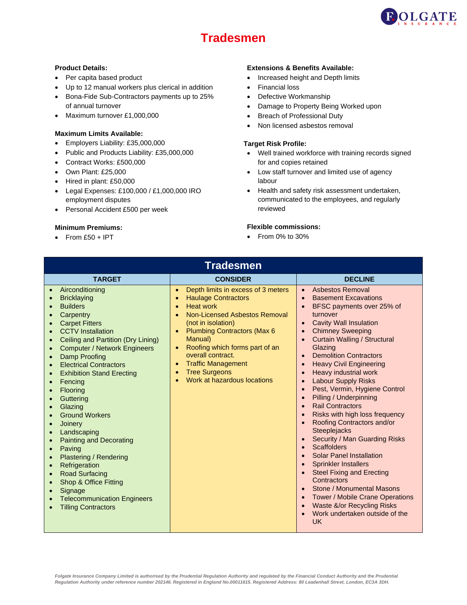

# **Tradesmen**

- Per capita based product
- Up to 12 manual workers plus clerical in addition
- Bona-Fide Sub-Contractors payments up to 25% of annual turnover
- Maximum turnover £1,000,000

#### **Maximum Limits Available:**

- Employers Liability: £35,000,000
- Public and Products Liability: £35,000,000
- Contract Works: £500,000
- Own Plant: £25,000
- Hired in plant: £50,000
- Legal Expenses: £100,000 / £1,000,000 IRO employment disputes
- Personal Accident £500 per week

#### **Minimum Premiums:**

 $\bullet$  From £50 + IPT

# **Product Details: Extensions & Benefits Available:**

- Increased height and Depth limits
- Financial loss
- Defective Workmanship
- Damage to Property Being Worked upon
- Breach of Professional Duty
- Non licensed asbestos removal

# **Target Risk Profile:**

- Well trained workforce with training records signed for and copies retained
- Low staff turnover and limited use of agency labour
- Health and safety risk assessment undertaken, communicated to the employees, and regularly reviewed

### **Flexible commissions:**

| <b>Tradesmen</b>                                                                                                                                                                                                                                                                                                                                                                                                                                                                                                                                                                                                                                                                                                                                                                                                                                                                                                                                                                        |                                                                                                                                                                                                                                                                                                                                                                                                                                     |                                                                                                                                                                                                                                                                                                                                                                                                                                                                                                                                                                                                                                                                                                                                                                                                                                                                                                                                                 |
|-----------------------------------------------------------------------------------------------------------------------------------------------------------------------------------------------------------------------------------------------------------------------------------------------------------------------------------------------------------------------------------------------------------------------------------------------------------------------------------------------------------------------------------------------------------------------------------------------------------------------------------------------------------------------------------------------------------------------------------------------------------------------------------------------------------------------------------------------------------------------------------------------------------------------------------------------------------------------------------------|-------------------------------------------------------------------------------------------------------------------------------------------------------------------------------------------------------------------------------------------------------------------------------------------------------------------------------------------------------------------------------------------------------------------------------------|-------------------------------------------------------------------------------------------------------------------------------------------------------------------------------------------------------------------------------------------------------------------------------------------------------------------------------------------------------------------------------------------------------------------------------------------------------------------------------------------------------------------------------------------------------------------------------------------------------------------------------------------------------------------------------------------------------------------------------------------------------------------------------------------------------------------------------------------------------------------------------------------------------------------------------------------------|
| <b>TARGET</b>                                                                                                                                                                                                                                                                                                                                                                                                                                                                                                                                                                                                                                                                                                                                                                                                                                                                                                                                                                           | <b>CONSIDER</b>                                                                                                                                                                                                                                                                                                                                                                                                                     | <b>DECLINE</b>                                                                                                                                                                                                                                                                                                                                                                                                                                                                                                                                                                                                                                                                                                                                                                                                                                                                                                                                  |
| Airconditioning<br>$\bullet$<br><b>Bricklaying</b><br>$\bullet$<br><b>Builders</b><br>$\epsilon$<br>Carpentry<br>$\epsilon$<br><b>Carpet Fitters</b><br>$\bullet$<br><b>CCTV</b> Installation<br>$\bullet$<br>Ceiling and Partition (Dry Lining)<br>$\bullet$<br><b>Computer / Network Engineers</b><br>$\epsilon$<br><b>Damp Proofing</b><br>C<br><b>Electrical Contractors</b><br>$\bullet$<br><b>Exhibition Stand Erecting</b><br>$\bullet$<br>Fencing<br>$\epsilon$<br>Flooring<br>$\epsilon$<br>Guttering<br>$\bullet$<br>Glazing<br>$\bullet$<br><b>Ground Workers</b><br>Joinery<br>$\epsilon$<br>Landscaping<br>$\bullet$<br><b>Painting and Decorating</b><br>$\bullet$<br>Paving<br>$\bullet$<br><b>Plastering / Rendering</b><br>$\epsilon$<br>Refrigeration<br>$\bullet$<br><b>Road Surfacing</b><br>$\bullet$<br><b>Shop &amp; Office Fitting</b><br>$\epsilon$<br>Signage<br>$\epsilon$<br><b>Telecommunication Engineers</b><br>$\epsilon$<br><b>Tilling Contractors</b> | Depth limits in excess of 3 meters<br>$\bullet$<br><b>Haulage Contractors</b><br>$\bullet$<br><b>Heat work</b><br>$\bullet$<br>Non-Licensed Asbestos Removal<br>(not in isolation)<br><b>Plumbing Contractors (Max 6)</b><br>$\bullet$<br>Manual)<br>Roofing which forms part of an<br>$\bullet$<br>overall contract.<br><b>Traffic Management</b><br>$\bullet$<br><b>Tree Surgeons</b><br>$\bullet$<br>Work at hazardous locations | <b>Asbestos Removal</b><br>$\bullet$<br><b>Basement Excavations</b><br>$\bullet$<br>BFSC payments over 25% of<br>turnover<br><b>Cavity Wall Insulation</b><br>$\bullet$<br><b>Chimney Sweeping</b><br>$\bullet$<br><b>Curtain Walling / Structural</b><br>Glazing<br><b>Demolition Contractors</b><br><b>Heavy Civil Engineering</b><br><b>Heavy industrial work</b><br><b>Labour Supply Risks</b><br>Pest, Vermin, Hygiene Control<br>Pilling / Underpinning<br><b>Rail Contractors</b><br>Risks with high loss frequency<br>Roofing Contractors and/or<br>Steeplejacks<br>Security / Man Guarding Risks<br>$\bullet$<br><b>Scaffolders</b><br><b>Solar Panel Installation</b><br><b>Sprinkler Installers</b><br><b>Steel Fixing and Erecting</b><br>Contractors<br>Stone / Monumental Masons<br><b>Tower / Mobile Crane Operations</b><br>Waste &/or Recycling Risks<br>$\bullet$<br>Work undertaken outside of the<br>$\bullet$<br><b>UK</b> |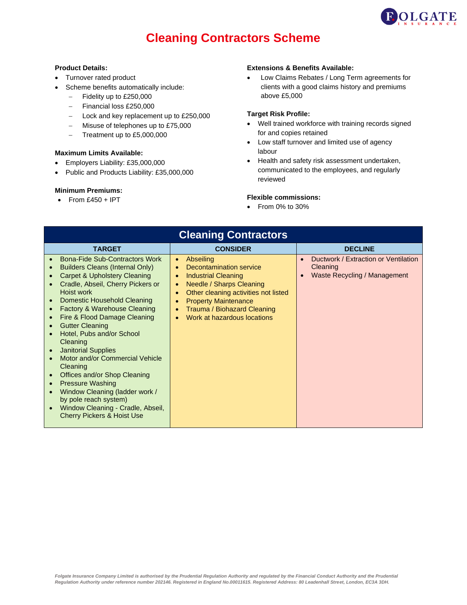

# **Cleaning Contractors Scheme**

### **Product Details:**

- Turnover rated product
- Scheme benefits automatically include:
	- − Fidelity up to £250,000
	- − Financial loss £250,000
	- − Lock and key replacement up to £250,000
	- − Misuse of telephones up to £75,000
	- − Treatment up to £5,000,000

#### **Maximum Limits Available:**

- Employers Liability: £35,000,000
- Public and Products Liability: £35,000,000

# **Minimum Premiums:**

 $\bullet$  From £450 + IPT

#### **Extensions & Benefits Available:**

• Low Claims Rebates / Long Term agreements for clients with a good claims history and premiums above £5,000

# **Target Risk Profile:**

- Well trained workforce with training records signed for and copies retained
- Low staff turnover and limited use of agency labour
- Health and safety risk assessment undertaken, communicated to the employees, and regularly reviewed

# **Flexible commissions:**

| <b>Cleaning Contractors</b>                                                                                                                                                                                                                                                                                                                                                                                                                                                                                                                                                                                                                                                                                                                                                   |                                                                                                                                                                                                                                                                                                                   |                                                                                                            |
|-------------------------------------------------------------------------------------------------------------------------------------------------------------------------------------------------------------------------------------------------------------------------------------------------------------------------------------------------------------------------------------------------------------------------------------------------------------------------------------------------------------------------------------------------------------------------------------------------------------------------------------------------------------------------------------------------------------------------------------------------------------------------------|-------------------------------------------------------------------------------------------------------------------------------------------------------------------------------------------------------------------------------------------------------------------------------------------------------------------|------------------------------------------------------------------------------------------------------------|
| <b>TARGET</b>                                                                                                                                                                                                                                                                                                                                                                                                                                                                                                                                                                                                                                                                                                                                                                 | <b>CONSIDER</b>                                                                                                                                                                                                                                                                                                   | <b>DECLINE</b>                                                                                             |
| <b>Bona-Fide Sub-Contractors Work</b><br><b>Builders Cleans (Internal Only)</b><br><b>Carpet &amp; Upholstery Cleaning</b><br>$\bullet$<br>Cradle, Abseil, Cherry Pickers or<br>Hoist work<br>Domestic Household Cleaning<br>$\bullet$<br><b>Factory &amp; Warehouse Cleaning</b><br>$\bullet$<br>Fire & Flood Damage Cleaning<br>$\bullet$<br><b>Gutter Cleaning</b><br>$\bullet$<br>Hotel, Pubs and/or School<br>$\bullet$<br>Cleaning<br><b>Janitorial Supplies</b><br>$\bullet$<br>Motor and/or Commercial Vehicle<br>Cleaning<br>Offices and/or Shop Cleaning<br>$\bullet$<br><b>Pressure Washing</b><br>$\bullet$<br>Window Cleaning (ladder work /<br>$\bullet$<br>by pole reach system)<br>Window Cleaning - Cradle, Abseil,<br><b>Cherry Pickers &amp; Hoist Use</b> | Abseiling<br>$\bullet$<br>Decontamination service<br>$\bullet$<br><b>Industrial Cleaning</b><br>$\bullet$<br>Needle / Sharps Cleaning<br>$\bullet$<br>Other cleaning activities not listed<br>$\bullet$<br><b>Property Maintenance</b><br>Trauma / Biohazard Cleaning<br>$\bullet$<br>Work at hazardous locations | Ductwork / Extraction or Ventilation<br>$\bullet$<br>Cleaning<br>Waste Recycling / Management<br>$\bullet$ |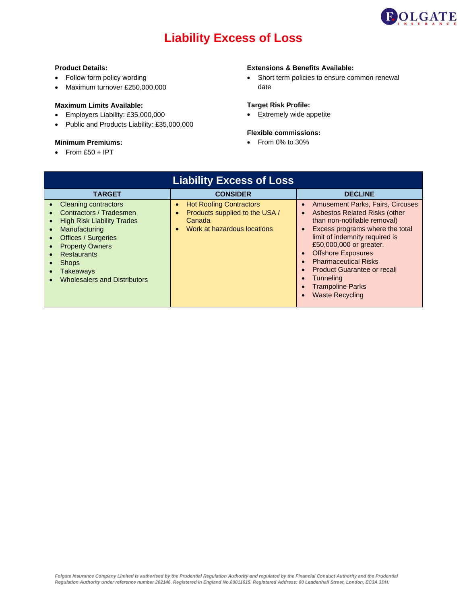

# **Liability Excess of Loss**

#### **Product Details:**

- Follow form policy wording
- Maximum turnover £250,000,000

### **Maximum Limits Available:**

- Employers Liability: £35,000,000
- Public and Products Liability: £35,000,000

# **Minimum Premiums:**

 $\bullet$  From £50 + IPT

## **Extensions & Benefits Available:**

• Short term policies to ensure common renewal date

# **Target Risk Profile:**

• Extremely wide appetite

#### **Flexible commissions:**

| <b>Liability Excess of Loss</b>                                                                                                                                                                                                                                             |                                                                                                           |                                                                                                                                                                                                                                                                                                                                                                              |
|-----------------------------------------------------------------------------------------------------------------------------------------------------------------------------------------------------------------------------------------------------------------------------|-----------------------------------------------------------------------------------------------------------|------------------------------------------------------------------------------------------------------------------------------------------------------------------------------------------------------------------------------------------------------------------------------------------------------------------------------------------------------------------------------|
| <b>TARGET</b>                                                                                                                                                                                                                                                               | <b>CONSIDER</b>                                                                                           | <b>DECLINE</b>                                                                                                                                                                                                                                                                                                                                                               |
| <b>Cleaning contractors</b><br>Contractors / Tradesmen<br><b>High Risk Liability Trades</b><br>Manufacturing<br>$\bullet$<br><b>Offices / Surgeries</b><br><b>Property Owners</b><br><b>Restaurants</b><br><b>Shops</b><br>Takeaways<br><b>Wholesalers and Distributors</b> | <b>Hot Roofing Contractors</b><br>Products supplied to the USA /<br>Canada<br>Work at hazardous locations | <b>Amusement Parks, Fairs, Circuses</b><br>Asbestos Related Risks (other<br>than non-notifiable removal)<br>Excess programs where the total<br>limit of indemnity required is<br>£50,000,000 or greater.<br><b>Offshore Exposures</b><br><b>Pharmaceutical Risks</b><br><b>Product Guarantee or recall</b><br>Tunneling<br><b>Trampoline Parks</b><br><b>Waste Recycling</b> |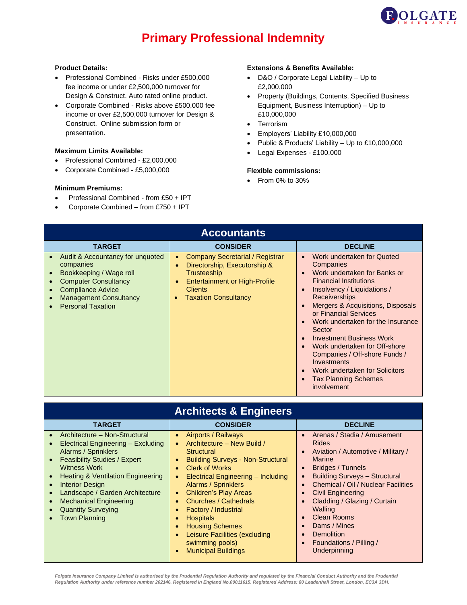

# **Primary Professional Indemnity**

### **Product Details:**

- Professional Combined Risks under £500,000 fee income or under £2,500,000 turnover for Design & Construct. Auto rated online product.
- Corporate Combined Risks above £500,000 fee income or over £2,500,000 turnover for Design & Construct. Online submission form or presentation.

#### **Maximum Limits Available:**

- Professional Combined £2,000,000
- Corporate Combined £5,000,000

### **Minimum Premiums:**

- Professional Combined from £50 + IPT
- Corporate Combined from £750 + IPT

#### **Extensions & Benefits Available:**

- D&O / Corporate Legal Liability Up to £2,000,000
- Property (Buildings, Contents, Specified Business Equipment, Business Interruption) – Up to £10,000,000
- Terrorism
- Employers' Liability £10,000,000
- Public & Products' Liability Up to £10,000,000
- Legal Expenses £100,000

#### **Flexible commissions:**

• From 0% to 30%

| <b>Accountants</b>                                                                                                                                                                               |                                                                                                                                                                                     |                                                                                                                                                                                                                                                                                                                                                                                                                                                                                               |
|--------------------------------------------------------------------------------------------------------------------------------------------------------------------------------------------------|-------------------------------------------------------------------------------------------------------------------------------------------------------------------------------------|-----------------------------------------------------------------------------------------------------------------------------------------------------------------------------------------------------------------------------------------------------------------------------------------------------------------------------------------------------------------------------------------------------------------------------------------------------------------------------------------------|
| <b>TARGET</b>                                                                                                                                                                                    | <b>CONSIDER</b>                                                                                                                                                                     | <b>DECLINE</b>                                                                                                                                                                                                                                                                                                                                                                                                                                                                                |
| Audit & Accountancy for unquoted<br>companies<br>Bookkeeping / Wage roll<br><b>Computer Consultancy</b><br><b>Compliance Advice</b><br><b>Management Consultancy</b><br><b>Personal Taxation</b> | <b>Company Secretarial / Registrar</b><br>۰<br>Directorship, Executorship &<br>Trusteeship<br><b>Entertainment or High-Profile</b><br><b>Clients</b><br><b>Taxation Consultancy</b> | Work undertaken for Quoted<br>$\bullet$<br>Companies<br>Work undertaken for Banks or<br><b>Financial Institutions</b><br>Insolvency / Liquidations /<br><b>Receiverships</b><br>Mergers & Acquisitions, Disposals<br>or Financial Services<br>Work undertaken for the Insurance<br>Sector<br><b>Investment Business Work</b><br>Work undertaken for Off-shore<br>Companies / Off-shore Funds /<br>Investments<br>Work undertaken for Solicitors<br><b>Tax Planning Schemes</b><br>involvement |

# **Architects & Engineers**

| <b>TARGET</b>                                                                                                                                                                                                                                                                                                                                 | <b>CONSIDER</b>                                                                                                                                                                                                                                                                                           | <b>DECLINE</b>                                                                                                                                                                                                                                                           |
|-----------------------------------------------------------------------------------------------------------------------------------------------------------------------------------------------------------------------------------------------------------------------------------------------------------------------------------------------|-----------------------------------------------------------------------------------------------------------------------------------------------------------------------------------------------------------------------------------------------------------------------------------------------------------|--------------------------------------------------------------------------------------------------------------------------------------------------------------------------------------------------------------------------------------------------------------------------|
| Architecture - Non-Structural<br>$\bullet$<br>Electrical Engineering - Excluding<br>Alarms / Sprinklers<br><b>Feasibility Studies / Expert</b><br><b>Witness Work</b><br><b>Heating &amp; Ventilation Engineering</b><br><b>Interior Design</b><br>$\bullet$<br>Landscape / Garden Architecture<br>$\bullet$<br><b>Mechanical Engineering</b> | Airports / Railways<br>$\bullet$<br>Architecture - New Build /<br><b>Structural</b><br><b>Building Surveys - Non-Structural</b><br><b>Clerk of Works</b><br><b>Electrical Engineering - Including</b><br><b>Alarms / Sprinklers</b><br><b>Children's Play Areas</b><br>$\bullet$<br>Churches / Cathedrals | Arenas / Stadia / Amusement<br><b>Rides</b><br>Aviation / Automotive / Military /<br><b>Marine</b><br>Bridges / Tunnels<br>$\bullet$<br><b>Building Surveys - Structural</b><br>Chemical / Oil / Nuclear Facilities<br>Civil Engineering<br>Cladding / Glazing / Curtain |
| <b>Quantity Surveying</b><br><b>Town Planning</b>                                                                                                                                                                                                                                                                                             | Factory / Industrial<br><b>Hospitals</b><br><b>Housing Schemes</b><br>Leisure Facilities (excluding<br>swimming pools)<br><b>Municipal Buildings</b>                                                                                                                                                      | Walling<br>Clean Rooms<br>Dams / Mines<br>Demolition<br>Foundations / Pilling /<br>Underpinning                                                                                                                                                                          |

*Folgate Insurance Company Limited is authorised by the Prudential Regulation Authority and regulated by the Financial Conduct Authority and the Prudential Regulation Authority under reference number 202146. Registered in England No.00011615. Registered Address: 80 Leadenhall Street, London, EC3A 3DH.*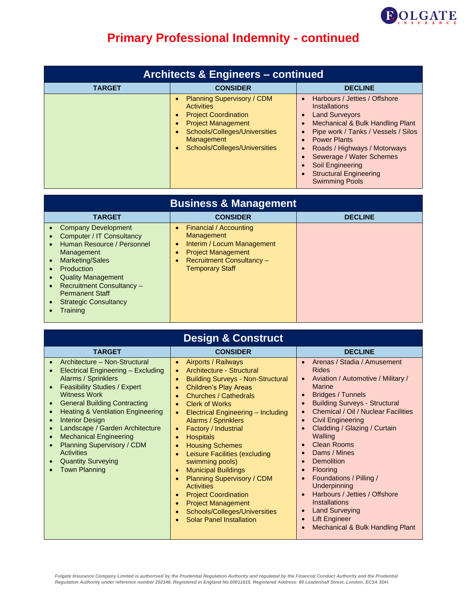

| <b>Architects &amp; Engineers - continued</b> |                                                                                                                                                                                                                                                        |                                                                                                                                                                                                                                                                                                                            |
|-----------------------------------------------|--------------------------------------------------------------------------------------------------------------------------------------------------------------------------------------------------------------------------------------------------------|----------------------------------------------------------------------------------------------------------------------------------------------------------------------------------------------------------------------------------------------------------------------------------------------------------------------------|
| <b>TARGET</b>                                 | <b>CONSIDER</b>                                                                                                                                                                                                                                        | <b>DECLINE</b>                                                                                                                                                                                                                                                                                                             |
|                                               | <b>Planning Supervisory / CDM</b><br>$\bullet$<br><b>Activities</b><br><b>Project Coordination</b><br>$\bullet$<br><b>Project Management</b><br>$\bullet$<br>Schools/Colleges/Universities<br>Management<br>Schools/Colleges/Universities<br>$\bullet$ | Harbours / Jetties / Offshore<br><b>Installations</b><br><b>Land Surveyors</b><br>Mechanical & Bulk Handling Plant<br>Pipe work / Tanks / Vessels / Silos<br><b>Power Plants</b><br>Roads / Highways / Motorways<br>Sewerage / Water Schemes<br>Soil Engineering<br><b>Structural Engineering</b><br><b>Swimming Pools</b> |

| <b>Business &amp; Management</b>                                                                                                                                                                                                                                                                                                  |                                                                                                                                                                                   |                |
|-----------------------------------------------------------------------------------------------------------------------------------------------------------------------------------------------------------------------------------------------------------------------------------------------------------------------------------|-----------------------------------------------------------------------------------------------------------------------------------------------------------------------------------|----------------|
| <b>TARGET</b>                                                                                                                                                                                                                                                                                                                     | <b>CONSIDER</b>                                                                                                                                                                   | <b>DECLINE</b> |
| • Company Development<br>Computer / IT Consultancy<br>Human Resource / Personnel<br>$\bullet$<br>Management<br><b>Marketing/Sales</b><br>$\bullet$<br>Production<br><b>Quality Management</b><br>$\bullet$<br><b>Recruitment Consultancy -</b><br>$\bullet$<br><b>Permanent Staff</b><br><b>Strategic Consultancy</b><br>Training | Financial / Accounting<br><b>Management</b><br>Interim / Locum Management<br>$\bullet$<br><b>Project Management</b><br><b>Recruitment Consultancy -</b><br><b>Temporary Staff</b> |                |

| <b>Design &amp; Construct</b>                                                                                                                                                                                                                                                                                                                                                                                                                                                                                                 |                                                                                                                                                                                                                                                                                                                                                                                                                                                                                                                                  |                                                                                                                                                                                                                                                                                                                                                                                                                                                                        |
|-------------------------------------------------------------------------------------------------------------------------------------------------------------------------------------------------------------------------------------------------------------------------------------------------------------------------------------------------------------------------------------------------------------------------------------------------------------------------------------------------------------------------------|----------------------------------------------------------------------------------------------------------------------------------------------------------------------------------------------------------------------------------------------------------------------------------------------------------------------------------------------------------------------------------------------------------------------------------------------------------------------------------------------------------------------------------|------------------------------------------------------------------------------------------------------------------------------------------------------------------------------------------------------------------------------------------------------------------------------------------------------------------------------------------------------------------------------------------------------------------------------------------------------------------------|
| <b>TARGET</b>                                                                                                                                                                                                                                                                                                                                                                                                                                                                                                                 | <b>CONSIDER</b>                                                                                                                                                                                                                                                                                                                                                                                                                                                                                                                  | <b>DECLINE</b>                                                                                                                                                                                                                                                                                                                                                                                                                                                         |
| Architecture - Non-Structural<br>$\bullet$<br>Electrical Engineering - Excluding<br>Alarms / Sprinklers<br><b>Feasibility Studies / Expert</b><br><b>Witness Work</b><br><b>General Building Contracting</b><br><b>Heating &amp; Ventilation Engineering</b><br>$\bullet$<br><b>Interior Design</b><br>$\bullet$<br>Landscape / Garden Architecture<br>$\bullet$<br><b>Mechanical Engineering</b><br>$\bullet$<br><b>Planning Supervisory / CDM</b><br><b>Activities</b><br><b>Quantity Surveying</b><br><b>Town Planning</b> | Airports / Railways<br>Architecture - Structural<br><b>Building Surveys - Non-Structural</b><br><b>Children's Play Areas</b><br>Churches / Cathedrals<br><b>Clerk of Works</b><br>Electrical Engineering - Including<br><b>Alarms / Sprinklers</b><br>Factory / Industrial<br><b>Hospitals</b><br><b>Housing Schemes</b><br>Leisure Facilities (excluding<br>swimming pools)<br><b>Municipal Buildings</b><br><b>Planning Supervisory / CDM</b><br><b>Activities</b><br><b>Project Coordination</b><br><b>Project Management</b> | Arenas / Stadia / Amusement<br><b>Rides</b><br>Aviation / Automotive / Military /<br><b>Marine</b><br>Bridges / Tunnels<br><b>Building Surveys - Structural</b><br>Chemical / Oil / Nuclear Facilities<br><b>Civil Engineering</b><br>Cladding / Glazing / Curtain<br>Walling<br><b>Clean Rooms</b><br>Dams / Mines<br><b>Demolition</b><br><b>Flooring</b><br>Foundations / Pilling /<br><b>Underpinning</b><br>Harbours / Jetties / Offshore<br><b>Installations</b> |

- Project Management
- Schools/Colleges/Universities
- Solar Panel Installation
- Lift Engineer • Mechanical & Bulk Handling Plant

• Land Surveying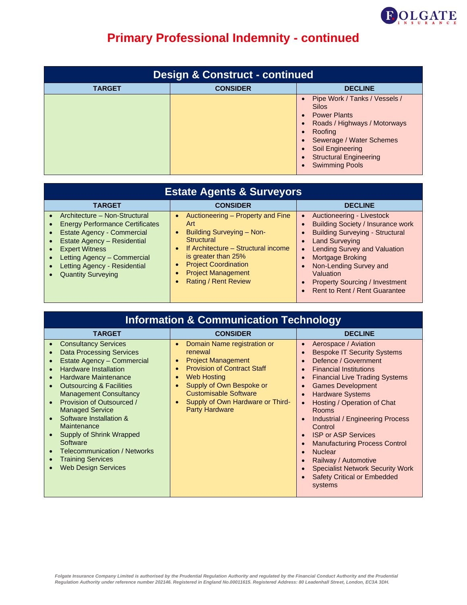

| <b>Design &amp; Construct - continued</b> |                 |                                                                                                                                                                                                                                                                   |
|-------------------------------------------|-----------------|-------------------------------------------------------------------------------------------------------------------------------------------------------------------------------------------------------------------------------------------------------------------|
| <b>TARGET</b>                             | <b>CONSIDER</b> | <b>DECLINE</b>                                                                                                                                                                                                                                                    |
|                                           |                 | Pipe Work / Tanks / Vessels /<br>Silos<br>• Power Plants<br>Roads / Highways / Motorways<br>$\bullet$<br>Roofing<br>$\bullet$<br>Sewerage / Water Schemes<br>Soil Engineering<br><b>Structural Engineering</b><br>$\bullet$<br><b>Swimming Pools</b><br>$\bullet$ |

| <b>Estate Agents &amp; Surveyors</b>                                                                                                                                                                                                                                   |                                                                                                                                                                                                                                                                                                   |                                                                                                                                                                                                                                                                                                                      |
|------------------------------------------------------------------------------------------------------------------------------------------------------------------------------------------------------------------------------------------------------------------------|---------------------------------------------------------------------------------------------------------------------------------------------------------------------------------------------------------------------------------------------------------------------------------------------------|----------------------------------------------------------------------------------------------------------------------------------------------------------------------------------------------------------------------------------------------------------------------------------------------------------------------|
| <b>TARGET</b>                                                                                                                                                                                                                                                          | <b>CONSIDER</b>                                                                                                                                                                                                                                                                                   | <b>DECLINE</b>                                                                                                                                                                                                                                                                                                       |
| Architecture - Non-Structural<br><b>Energy Performance Certificates</b><br>Estate Agency - Commercial<br>Estate Agency - Residential<br><b>Expert Witness</b><br>Letting Agency - Commercial<br>Letting Agency - Residential<br><b>Quantity Surveying</b><br>$\bullet$ | Auctioneering – Property and Fine<br>$\bullet$<br>Art<br><b>Building Surveying - Non-</b><br>$\bullet$<br><b>Structural</b><br>If Architecture - Structural income<br>$\bullet$<br>is greater than 25%<br><b>Project Coordination</b><br><b>Project Management</b><br><b>Rating / Rent Review</b> | Auctioneering - Livestock<br><b>Building Society / Insurance work</b><br><b>Building Surveying - Structural</b><br><b>Land Surveying</b><br><b>Lending Survey and Valuation</b><br>Mortgage Broking<br>Non-Lending Survey and<br>Valuation<br><b>Property Sourcing / Investment</b><br>Rent to Rent / Rent Guarantee |

| <b>Information &amp; Communication Technology</b>                                                                                                                                                                                                                                                                                                                                                                                                                             |                                                                                                                                                                                                                                                                                                                                        |                                                                                                                                                                                                                                                                                                                                                                                                                                                                                                                                      |
|-------------------------------------------------------------------------------------------------------------------------------------------------------------------------------------------------------------------------------------------------------------------------------------------------------------------------------------------------------------------------------------------------------------------------------------------------------------------------------|----------------------------------------------------------------------------------------------------------------------------------------------------------------------------------------------------------------------------------------------------------------------------------------------------------------------------------------|--------------------------------------------------------------------------------------------------------------------------------------------------------------------------------------------------------------------------------------------------------------------------------------------------------------------------------------------------------------------------------------------------------------------------------------------------------------------------------------------------------------------------------------|
| <b>TARGET</b>                                                                                                                                                                                                                                                                                                                                                                                                                                                                 | <b>CONSIDER</b>                                                                                                                                                                                                                                                                                                                        | <b>DECLINE</b>                                                                                                                                                                                                                                                                                                                                                                                                                                                                                                                       |
| <b>Consultancy Services</b><br><b>Data Processing Services</b><br>Estate Agency - Commercial<br><b>Hardware Installation</b><br><b>Hardware Maintenance</b><br><b>Outsourcing &amp; Facilities</b><br><b>Management Consultancy</b><br>Provision of Outsourced /<br><b>Managed Service</b><br>Software Installation &<br>Maintenance<br>Supply of Shrink Wrapped<br>Software<br><b>Telecommunication / Networks</b><br><b>Training Services</b><br><b>Web Design Services</b> | Domain Name registration or<br>$\bullet$<br>renewal<br><b>Project Management</b><br>$\bullet$<br><b>Provision of Contract Staff</b><br>$\bullet$<br><b>Web Hosting</b><br>$\bullet$<br>Supply of Own Bespoke or<br>$\bullet$<br><b>Customisable Software</b><br>Supply of Own Hardware or Third-<br>$\bullet$<br><b>Party Hardware</b> | Aerospace / Aviation<br><b>Bespoke IT Security Systems</b><br>Defence / Government<br><b>Financial Institutions</b><br><b>Financial Live Trading Systems</b><br><b>Games Development</b><br><b>Hardware Systems</b><br>Hosting / Operation of Chat<br><b>Rooms</b><br><b>Industrial / Engineering Process</b><br>Control<br><b>ISP or ASP Services</b><br><b>Manufacturing Process Control</b><br><b>Nuclear</b><br>Railway / Automotive<br><b>Specialist Network Security Work</b><br><b>Safety Critical or Embedded</b><br>systems |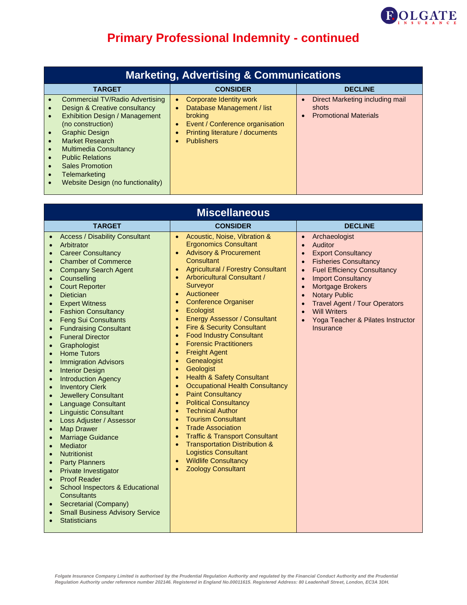

| <b>Marketing, Advertising &amp; Communications</b>                                                                                                                                                                                                                                                                                                                                                                                                              |                                                                                                                                                                                                                        |                                                                          |
|-----------------------------------------------------------------------------------------------------------------------------------------------------------------------------------------------------------------------------------------------------------------------------------------------------------------------------------------------------------------------------------------------------------------------------------------------------------------|------------------------------------------------------------------------------------------------------------------------------------------------------------------------------------------------------------------------|--------------------------------------------------------------------------|
| <b>TARGET</b>                                                                                                                                                                                                                                                                                                                                                                                                                                                   | <b>CONSIDER</b>                                                                                                                                                                                                        | <b>DECLINE</b>                                                           |
| Commercial TV/Radio Advertising<br>$\bullet$<br>Design & Creative consultancy<br>$\bullet$<br><b>Exhibition Design / Management</b><br>$\bullet$<br>(no construction)<br><b>Graphic Design</b><br>$\bullet$<br><b>Market Research</b><br>$\bullet$<br><b>Multimedia Consultancy</b><br>$\bullet$<br><b>Public Relations</b><br>$\bullet$<br><b>Sales Promotion</b><br>$\bullet$<br>Telemarketing<br>$\bullet$<br>Website Design (no functionality)<br>$\bullet$ | <b>Corporate Identity work</b><br>$\bullet$<br>Database Management / list<br>$\bullet$<br>broking<br>Event / Conference organisation<br>$\bullet$<br>Printing literature / documents<br><b>Publishers</b><br>$\bullet$ | Direct Marketing including mail<br>shots<br><b>Promotional Materials</b> |

| <b>Miscellaneous</b>                                                                                                                                                                                                                                                                                                                                                                                                                                                                                                                                                                                                                                                                                                                                                                                                                                                                                                                                                                                                                                                                                                                                                                                                                                                                                               |                                                                                                                                                                                                                                                                                                                                                                                                                                                                                                                                                                                                                                                                                                                                                                                                                                                                                                                                                                                                                                                                                                                                                                                                                                       |                                                                                                                                                                                                                                                                                                                                                                                                                                                                             |
|--------------------------------------------------------------------------------------------------------------------------------------------------------------------------------------------------------------------------------------------------------------------------------------------------------------------------------------------------------------------------------------------------------------------------------------------------------------------------------------------------------------------------------------------------------------------------------------------------------------------------------------------------------------------------------------------------------------------------------------------------------------------------------------------------------------------------------------------------------------------------------------------------------------------------------------------------------------------------------------------------------------------------------------------------------------------------------------------------------------------------------------------------------------------------------------------------------------------------------------------------------------------------------------------------------------------|---------------------------------------------------------------------------------------------------------------------------------------------------------------------------------------------------------------------------------------------------------------------------------------------------------------------------------------------------------------------------------------------------------------------------------------------------------------------------------------------------------------------------------------------------------------------------------------------------------------------------------------------------------------------------------------------------------------------------------------------------------------------------------------------------------------------------------------------------------------------------------------------------------------------------------------------------------------------------------------------------------------------------------------------------------------------------------------------------------------------------------------------------------------------------------------------------------------------------------------|-----------------------------------------------------------------------------------------------------------------------------------------------------------------------------------------------------------------------------------------------------------------------------------------------------------------------------------------------------------------------------------------------------------------------------------------------------------------------------|
| <b>TARGET</b>                                                                                                                                                                                                                                                                                                                                                                                                                                                                                                                                                                                                                                                                                                                                                                                                                                                                                                                                                                                                                                                                                                                                                                                                                                                                                                      | <b>CONSIDER</b>                                                                                                                                                                                                                                                                                                                                                                                                                                                                                                                                                                                                                                                                                                                                                                                                                                                                                                                                                                                                                                                                                                                                                                                                                       | <b>DECLINE</b>                                                                                                                                                                                                                                                                                                                                                                                                                                                              |
| <b>Access / Disability Consultant</b><br>Arbitrator<br>$\bullet$<br><b>Career Consultancy</b><br>$\bullet$<br><b>Chamber of Commerce</b><br>$\bullet$<br><b>Company Search Agent</b><br>$\bullet$<br>Counselling<br>$\bullet$<br><b>Court Reporter</b><br>$\bullet$<br><b>Dietician</b><br><b>Expert Witness</b><br><b>Fashion Consultancy</b><br>$\bullet$<br><b>Feng Sui Consultants</b><br>$\bullet$<br><b>Fundraising Consultant</b><br>$\bullet$<br><b>Funeral Director</b><br>$\bullet$<br>Graphologist<br>$\bullet$<br><b>Home Tutors</b><br>$\bullet$<br><b>Immigration Advisors</b><br>$\bullet$<br><b>Interior Design</b><br>$\bullet$<br><b>Introduction Agency</b><br>$\bullet$<br><b>Inventory Clerk</b><br><b>Jewellery Consultant</b><br><b>Language Consultant</b><br><b>Linguistic Consultant</b><br>$\bullet$<br>Loss Adjuster / Assessor<br>$\bullet$<br><b>Map Drawer</b><br>$\bullet$<br><b>Marriage Guidance</b><br>Mediator<br>$\bullet$<br><b>Nutritionist</b><br>$\bullet$<br><b>Party Planners</b><br>$\bullet$<br>Private Investigator<br>$\bullet$<br><b>Proof Reader</b><br>$\bullet$<br><b>School Inspectors &amp; Educational</b><br><b>Consultants</b><br><b>Secretarial (Company)</b><br>$\bullet$<br><b>Small Business Advisory Service</b><br>$\bullet$<br><b>Statisticians</b> | Acoustic, Noise, Vibration &<br>$\bullet$<br><b>Ergonomics Consultant</b><br><b>Advisory &amp; Procurement</b><br>$\bullet$<br>Consultant<br><b>Agricultural / Forestry Consultant</b><br>$\bullet$<br>Arboricultural Consultant /<br>$\bullet$<br>Surveyor<br>Auctioneer<br>$\bullet$<br><b>Conference Organiser</b><br>$\bullet$<br>Ecologist<br>$\bullet$<br><b>Energy Assessor / Consultant</b><br>$\bullet$<br><b>Fire &amp; Security Consultant</b><br>$\bullet$<br><b>Food Industry Consultant</b><br>$\bullet$<br><b>Forensic Practitioners</b><br>$\bullet$<br><b>Freight Agent</b><br>$\bullet$<br>Genealogist<br>$\bullet$<br>Geologist<br>$\bullet$<br><b>Health &amp; Safety Consultant</b><br>$\bullet$<br><b>Occupational Health Consultancy</b><br>$\bullet$<br><b>Paint Consultancy</b><br>$\bullet$<br><b>Political Consultancy</b><br>$\bullet$<br><b>Technical Author</b><br>$\bullet$<br><b>Tourism Consultant</b><br>$\bullet$<br><b>Trade Association</b><br>$\bullet$<br><b>Traffic &amp; Transport Consultant</b><br>$\bullet$<br><b>Transportation Distribution &amp;</b><br>$\bullet$<br><b>Logistics Consultant</b><br><b>Wildlife Consultancy</b><br>$\bullet$<br><b>Zoology Consultant</b><br>$\bullet$ | Archaeologist<br>$\bullet$<br>Auditor<br>$\bullet$<br><b>Export Consultancy</b><br>$\bullet$<br><b>Fisheries Consultancy</b><br>$\bullet$<br><b>Fuel Efficiency Consultancy</b><br>$\bullet$<br><b>Import Consultancy</b><br>$\bullet$<br><b>Mortgage Brokers</b><br>$\bullet$<br><b>Notary Public</b><br>$\bullet$<br><b>Travel Agent / Tour Operators</b><br>$\bullet$<br><b>Will Writers</b><br>$\bullet$<br>Yoga Teacher & Pilates Instructor<br>$\bullet$<br>Insurance |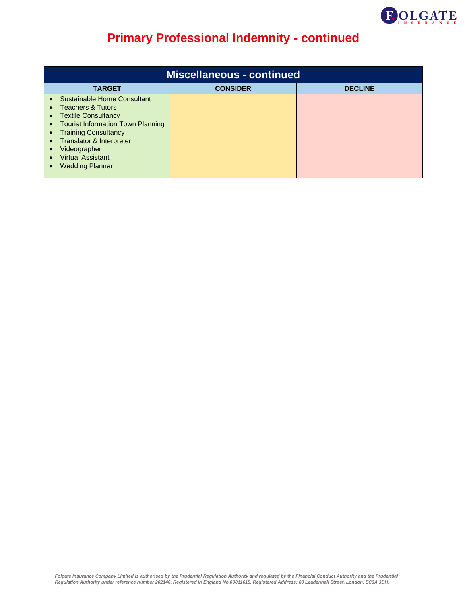

| <b>Miscellaneous - continued</b>                                                                                                                                                                                                                                                                                                                                               |                 |                |
|--------------------------------------------------------------------------------------------------------------------------------------------------------------------------------------------------------------------------------------------------------------------------------------------------------------------------------------------------------------------------------|-----------------|----------------|
| <b>TARGET</b>                                                                                                                                                                                                                                                                                                                                                                  | <b>CONSIDER</b> | <b>DECLINE</b> |
| Sustainable Home Consultant<br><b>Teachers &amp; Tutors</b><br>$\bullet$<br><b>Textile Consultancy</b><br>$\bullet$<br><b>Tourist Information Town Planning</b><br>$\bullet$<br><b>Training Consultancy</b><br>$\bullet$<br>Translator & Interpreter<br>$\bullet$<br>Videographer<br>$\bullet$<br><b>Virtual Assistant</b><br>$\bullet$<br><b>Wedding Planner</b><br>$\bullet$ |                 |                |